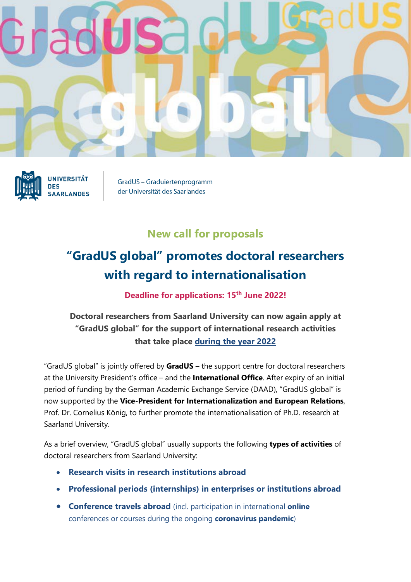



**UNIVERSITÄT DES SAARLANDES** 

GradUS - Graduiertenprogramm der Universität des Saarlandes

## **New call for proposals**

## **"GradUS global" promotes doctoral researchers with regard to internationalisation**

**Deadline for applications: 15th June 2022!**

## **Doctoral researchers from Saarland University can now again apply at "GradUS global" for the support of international research activities that take place during the year 2022**

"GradUS global" is jointly offered by **GradUS** – the support centre for doctoral researchers at the University President's office – and the **International Office**. After expiry of an initial period of funding by the German Academic Exchange Service (DAAD), "GradUS global" is now supported by the **Vice-President for Internationalization and European Relations**, Prof. Dr. Cornelius König, to further promote the internationalisation of Ph.D. research at Saarland University.

As a brief overview, "GradUS global" usually supports the following **types of activities** of doctoral researchers from Saarland University:

- **Research visits in research institutions abroad**
- **Professional periods (internships) in enterprises or institutions abroad**
- **Conference travels abroad** (incl. participation in international **online** conferences or courses during the ongoing **coronavirus pandemic**)